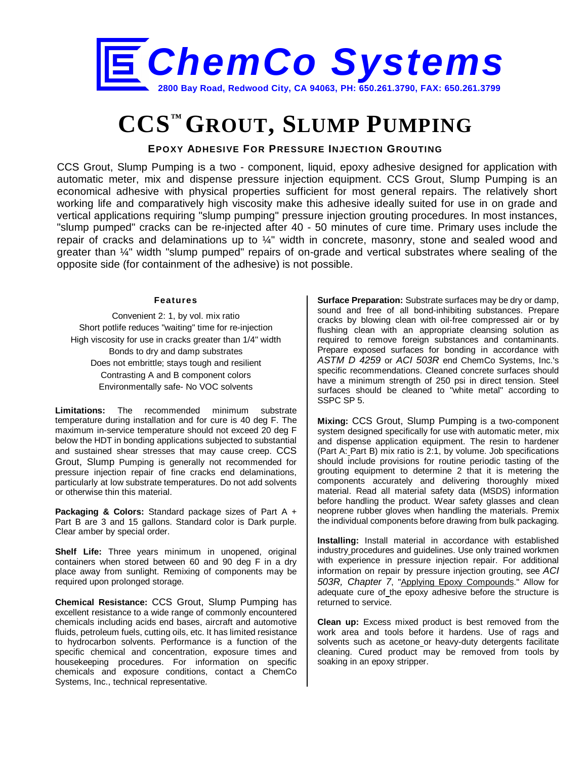

## **CCS™ GROUT, SLUMP PUMPING**

**EPOXY ADHESIVE FOR PRESSURE INJECTION GROUTING**

CCS Grout, Slump Pumping is a two - component, liquid, epoxy adhesive designed for application with automatic meter, mix and dispense pressure injection equipment. CCS Grout, Slump Pumping is an economical adhesive with physical properties sufficient for most general repairs. The relatively short working life and comparatively high viscosity make this adhesive ideally suited for use in on grade and vertical applications requiring "slump pumping" pressure injection grouting procedures. In most instances, "slump pumped" cracks can be re-injected after 40 - 50 minutes of cure time. Primary uses include the repair of cracks and delaminations up to ¼" width in concrete, masonry, stone and sealed wood and greater than ¼" width "slump pumped" repairs of on-grade and vertical substrates where sealing of the opposite side (for containment of the adhesive) is not possible.

## **Features**

Convenient 2: 1, by vol. mix ratio Short potlife reduces "waiting" time for re-injection High viscosity for use in cracks greater than 1/4" width Bonds to dry and damp substrates Does not embrittle; stays tough and resilient Contrasting A and B component colors Environmentally safe- No VOC solvents

**Limitations:** The recommended minimum substrate temperature during installation and for cure is 40 deg F. The maximum in-service temperature should not exceed 20 deg F below the HDT in bonding applications subjected to substantial and sustained shear stresses that may cause creep. CCS Grout, Slump Pumping is generally not recommended for pressure injection repair of fine cracks end delaminations, particularly at low substrate temperatures. Do not add solvents or otherwise thin this material.

**Packaging & Colors:** Standard package sizes of Part A + Part B are 3 and 15 gallons. Standard color is Dark purple. Clear amber by special order.

**Shelf Life:** Three years minimum in unopened, original containers when stored between 60 and 90 deg F in a dry place away from sunlight. Remixing of components may be required upon prolonged storage.

**Chemical Resistance:** CCS Grout, Slump Pumping has excellent resistance to a wide range of commonly encountered chemicals including acids end bases, aircraft and automotive fluids, petroleum fuels, cutting oils, etc. It has limited resistance to hydrocarbon solvents. Performance is a function of the specific chemical and concentration, exposure times and housekeeping procedures. For information on specific chemicals and exposure conditions, contact a ChemCo Systems, Inc., technical representative.

**Surface Preparation:** Substrate surfaces may be dry or damp, sound and free of all bond-inhibiting substances. Prepare cracks by blowing clean with oil-free compressed air or by flushing clean with an appropriate cleansing solution as required to remove foreign substances and contaminants. Prepare exposed surfaces for bonding in accordance with *ASTM D 4259* or *ACI 503R* end ChemCo Systems, Inc.'s specific recommendations. Cleaned concrete surfaces should have a minimum strength of 250 psi in direct tension. Steel surfaces should be cleaned to "white metal" according to SSPC SP 5.

**Mixing:** CCS Grout, Slump Pumping is a two-component system designed specifically for use with automatic meter, mix and dispense application equipment. The resin to hardener (Part A: Part B) mix ratio is 2:1, by volume. Job specifications should include provisions for routine periodic tasting of the grouting equipment to determine 2 that it is metering the components accurately and delivering thoroughly mixed material. Read all material safety data (MSDS) information before handling the product. Wear safety glasses and clean neoprene rubber gloves when handling the materials. Premix the individual components before drawing from bulk packaging.

**Installing:** Install material in accordance with established industry procedures and guidelines. Use only trained workmen with experience in pressure injection repair. For additional information on repair by pressure injection grouting, see *ACI 503R, Chapter 7*, "Applying Epoxy Compounds." Allow for adequate cure of the epoxy adhesive before the structure is returned to service.

**Clean up:** Excess mixed product is best removed from the work area and tools before it hardens. Use of rags and solvents such as acetone or heavy-duty detergents facilitate cleaning. Cured product may be removed from tools by soaking in an epoxy stripper.